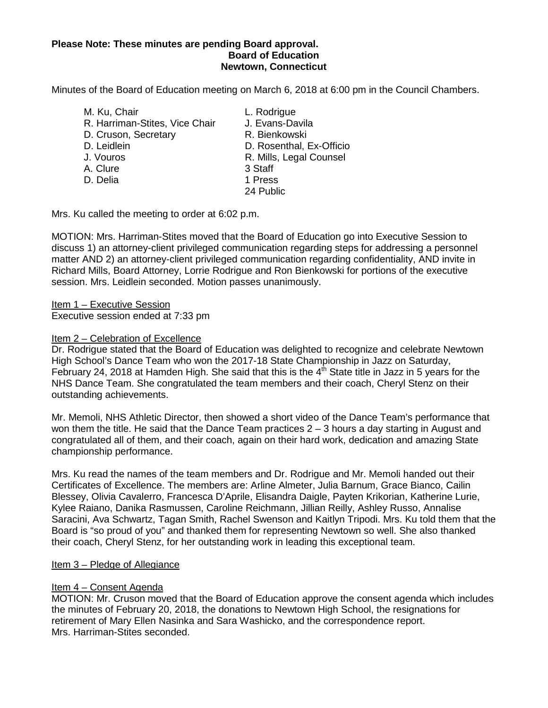#### **Please Note: These minutes are pending Board approval. Board of Education Newtown, Connecticut**

Minutes of the Board of Education meeting on March 6, 2018 at 6:00 pm in the Council Chambers.

M. Ku, Chair **L. Rodrigue** R. Harriman-Stites, Vice Chair J. Evans-Davila D. Cruson, Secretary R. Bienkowski D. Leidlein D. Rosenthal, Ex-Officio J. Vouros R. Mills, Legal Counsel A. Clure 3 Staff D. Delia 1 Press 24 Public

Mrs. Ku called the meeting to order at 6:02 p.m.

MOTION: Mrs. Harriman-Stites moved that the Board of Education go into Executive Session to discuss 1) an attorney-client privileged communication regarding steps for addressing a personnel matter AND 2) an attorney-client privileged communication regarding confidentiality, AND invite in Richard Mills, Board Attorney, Lorrie Rodrigue and Ron Bienkowski for portions of the executive session. Mrs. Leidlein seconded. Motion passes unanimously.

Item 1 – Executive Session

Executive session ended at 7:33 pm

### Item 2 – Celebration of Excellence

Dr. Rodrigue stated that the Board of Education was delighted to recognize and celebrate Newtown High School's Dance Team who won the 2017-18 State Championship in Jazz on Saturday, February 24, 2018 at Hamden High. She said that this is the  $4<sup>th</sup>$  State title in Jazz in 5 years for the NHS Dance Team. She congratulated the team members and their coach, Cheryl Stenz on their outstanding achievements.

Mr. Memoli, NHS Athletic Director, then showed a short video of the Dance Team's performance that won them the title. He said that the Dance Team practices 2 – 3 hours a day starting in August and congratulated all of them, and their coach, again on their hard work, dedication and amazing State championship performance.

Mrs. Ku read the names of the team members and Dr. Rodrigue and Mr. Memoli handed out their Certificates of Excellence. The members are: Arline Almeter, Julia Barnum, Grace Bianco, Cailin Blessey, Olivia Cavalerro, Francesca D'Aprile, Elisandra Daigle, Payten Krikorian, Katherine Lurie, Kylee Raiano, Danika Rasmussen, Caroline Reichmann, Jillian Reilly, Ashley Russo, Annalise Saracini, Ava Schwartz, Tagan Smith, Rachel Swenson and Kaitlyn Tripodi. Mrs. Ku told them that the Board is "so proud of you" and thanked them for representing Newtown so well. She also thanked their coach, Cheryl Stenz, for her outstanding work in leading this exceptional team.

#### Item 3 – Pledge of Allegiance

### Item 4 – Consent Agenda

MOTION: Mr. Cruson moved that the Board of Education approve the consent agenda which includes the minutes of February 20, 2018, the donations to Newtown High School, the resignations for retirement of Mary Ellen Nasinka and Sara Washicko, and the correspondence report. Mrs. Harriman-Stites seconded.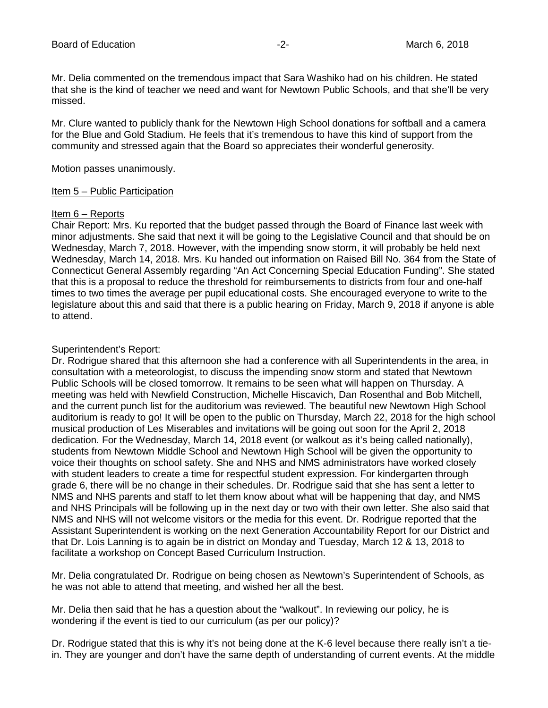Mr. Delia commented on the tremendous impact that Sara Washiko had on his children. He stated that she is the kind of teacher we need and want for Newtown Public Schools, and that she'll be very missed.

Mr. Clure wanted to publicly thank for the Newtown High School donations for softball and a camera for the Blue and Gold Stadium. He feels that it's tremendous to have this kind of support from the community and stressed again that the Board so appreciates their wonderful generosity.

Motion passes unanimously.

#### Item 5 – Public Participation

#### Item 6 – Reports

Chair Report: Mrs. Ku reported that the budget passed through the Board of Finance last week with minor adjustments. She said that next it will be going to the Legislative Council and that should be on Wednesday, March 7, 2018. However, with the impending snow storm, it will probably be held next Wednesday, March 14, 2018. Mrs. Ku handed out information on Raised Bill No. 364 from the State of Connecticut General Assembly regarding "An Act Concerning Special Education Funding". She stated that this is a proposal to reduce the threshold for reimbursements to districts from four and one-half times to two times the average per pupil educational costs. She encouraged everyone to write to the legislature about this and said that there is a public hearing on Friday, March 9, 2018 if anyone is able to attend.

### Superintendent's Report:

Dr. Rodrigue shared that this afternoon she had a conference with all Superintendents in the area, in consultation with a meteorologist, to discuss the impending snow storm and stated that Newtown Public Schools will be closed tomorrow. It remains to be seen what will happen on Thursday. A meeting was held with Newfield Construction, Michelle Hiscavich, Dan Rosenthal and Bob Mitchell, and the current punch list for the auditorium was reviewed. The beautiful new Newtown High School auditorium is ready to go! It will be open to the public on Thursday, March 22, 2018 for the high school musical production of Les Miserables and invitations will be going out soon for the April 2, 2018 dedication. For the Wednesday, March 14, 2018 event (or walkout as it's being called nationally), students from Newtown Middle School and Newtown High School will be given the opportunity to voice their thoughts on school safety. She and NHS and NMS administrators have worked closely with student leaders to create a time for respectful student expression. For kindergarten through grade 6, there will be no change in their schedules. Dr. Rodrigue said that she has sent a letter to NMS and NHS parents and staff to let them know about what will be happening that day, and NMS and NHS Principals will be following up in the next day or two with their own letter. She also said that NMS and NHS will not welcome visitors or the media for this event. Dr. Rodrigue reported that the Assistant Superintendent is working on the next Generation Accountability Report for our District and that Dr. Lois Lanning is to again be in district on Monday and Tuesday, March 12 & 13, 2018 to facilitate a workshop on Concept Based Curriculum Instruction.

Mr. Delia congratulated Dr. Rodrigue on being chosen as Newtown's Superintendent of Schools, as he was not able to attend that meeting, and wished her all the best.

Mr. Delia then said that he has a question about the "walkout". In reviewing our policy, he is wondering if the event is tied to our curriculum (as per our policy)?

Dr. Rodrigue stated that this is why it's not being done at the K-6 level because there really isn't a tiein. They are younger and don't have the same depth of understanding of current events. At the middle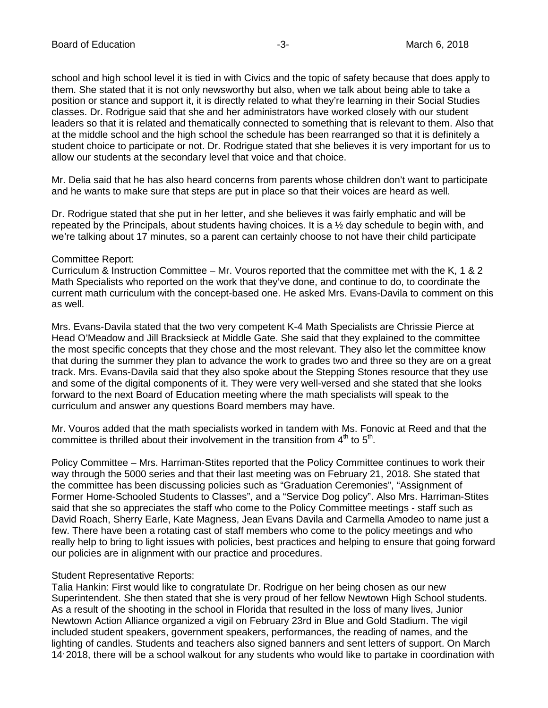school and high school level it is tied in with Civics and the topic of safety because that does apply to them. She stated that it is not only newsworthy but also, when we talk about being able to take a position or stance and support it, it is directly related to what they're learning in their Social Studies classes. Dr. Rodrigue said that she and her administrators have worked closely with our student leaders so that it is related and thematically connected to something that is relevant to them. Also that at the middle school and the high school the schedule has been rearranged so that it is definitely a student choice to participate or not. Dr. Rodrigue stated that she believes it is very important for us to allow our students at the secondary level that voice and that choice.

Mr. Delia said that he has also heard concerns from parents whose children don't want to participate and he wants to make sure that steps are put in place so that their voices are heard as well.

Dr. Rodrigue stated that she put in her letter, and she believes it was fairly emphatic and will be repeated by the Principals, about students having choices. It is a ½ day schedule to begin with, and we're talking about 17 minutes, so a parent can certainly choose to not have their child participate

#### Committee Report:

Curriculum & Instruction Committee – Mr. Vouros reported that the committee met with the K, 1 & 2 Math Specialists who reported on the work that they've done, and continue to do, to coordinate the current math curriculum with the concept-based one. He asked Mrs. Evans-Davila to comment on this as well.

Mrs. Evans-Davila stated that the two very competent K-4 Math Specialists are Chrissie Pierce at Head O'Meadow and Jill Bracksieck at Middle Gate. She said that they explained to the committee the most specific concepts that they chose and the most relevant. They also let the committee know that during the summer they plan to advance the work to grades two and three so they are on a great track. Mrs. Evans-Davila said that they also spoke about the Stepping Stones resource that they use and some of the digital components of it. They were very well-versed and she stated that she looks forward to the next Board of Education meeting where the math specialists will speak to the curriculum and answer any questions Board members may have.

Mr. Vouros added that the math specialists worked in tandem with Ms. Fonovic at Reed and that the committee is thrilled about their involvement in the transition from  $4<sup>th</sup>$  to  $5<sup>th</sup>$ .

Policy Committee – Mrs. Harriman-Stites reported that the Policy Committee continues to work their way through the 5000 series and that their last meeting was on February 21, 2018. She stated that the committee has been discussing policies such as "Graduation Ceremonies", "Assignment of Former Home-Schooled Students to Classes", and a "Service Dog policy". Also Mrs. Harriman-Stites said that she so appreciates the staff who come to the Policy Committee meetings - staff such as David Roach, Sherry Earle, Kate Magness, Jean Evans Davila and Carmella Amodeo to name just a few. There have been a rotating cast of staff members who come to the policy meetings and who really help to bring to light issues with policies, best practices and helping to ensure that going forward our policies are in alignment with our practice and procedures.

#### Student Representative Reports:

Talia Hankin: First would like to congratulate Dr. Rodrigue on her being chosen as our new Superintendent. She then stated that she is very proud of her fellow Newtown High School students. As a result of the shooting in the school in Florida that resulted in the loss of many lives, Junior Newtown Action Alliance organized a vigil on February 23rd in Blue and Gold Stadium. The vigil included student speakers, government speakers, performances, the reading of names, and the lighting of candles. Students and teachers also signed banners and sent letters of support. On March 14, 2018, there will be a school walkout for any students who would like to partake in coordination with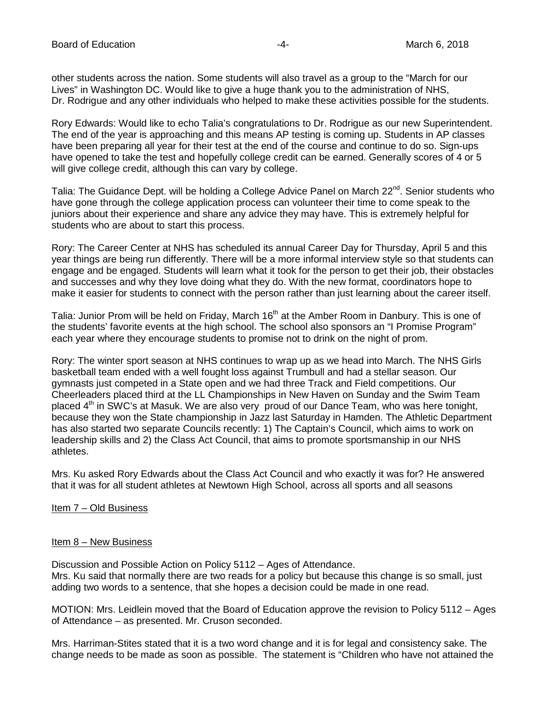other students across the nation. Some students will also travel as a group to the "March for our Lives" in Washington DC. Would like to give a huge thank you to the administration of NHS, Dr. Rodrigue and any other individuals who helped to make these activities possible for the students.

Rory Edwards: Would like to echo Talia's congratulations to Dr. Rodrigue as our new Superintendent. The end of the year is approaching and this means AP testing is coming up. Students in AP classes have been preparing all year for their test at the end of the course and continue to do so. Sign-ups have opened to take the test and hopefully college credit can be earned. Generally scores of 4 or 5 will give college credit, although this can vary by college.

Talia: The Guidance Dept. will be holding a College Advice Panel on March 22<sup>nd</sup>. Senior students who have gone through the college application process can volunteer their time to come speak to the juniors about their experience and share any advice they may have. This is extremely helpful for students who are about to start this process.

Rory: The Career Center at NHS has scheduled its annual Career Day for Thursday, April 5 and this year things are being run differently. There will be a more informal interview style so that students can engage and be engaged. Students will learn what it took for the person to get their job, their obstacles and successes and why they love doing what they do. With the new format, coordinators hope to make it easier for students to connect with the person rather than just learning about the career itself.

Talia: Junior Prom will be held on Friday, March 16<sup>th</sup> at the Amber Room in Danbury. This is one of the students' favorite events at the high school. The school also sponsors an "I Promise Program" each year where they encourage students to promise not to drink on the night of prom.

Rory: The winter sport season at NHS continues to wrap up as we head into March. The NHS Girls basketball team ended with a well fought loss against Trumbull and had a stellar season. Our gymnasts just competed in a State open and we had three Track and Field competitions. Our Cheerleaders placed third at the LL Championships in New Haven on Sunday and the Swim Team placed 4<sup>th</sup> in SWC's at Masuk. We are also very proud of our Dance Team, who was here tonight, because they won the State championship in Jazz last Saturday in Hamden. The Athletic Department has also started two separate Councils recently: 1) The Captain's Council, which aims to work on leadership skills and 2) the Class Act Council, that aims to promote sportsmanship in our NHS athletes.

Mrs. Ku asked Rory Edwards about the Class Act Council and who exactly it was for? He answered that it was for all student athletes at Newtown High School, across all sports and all seasons

### Item 7 – Old Business

#### Item 8 – New Business

Discussion and Possible Action on Policy 5112 – Ages of Attendance. Mrs. Ku said that normally there are two reads for a policy but because this change is so small, just adding two words to a sentence, that she hopes a decision could be made in one read.

MOTION: Mrs. Leidlein moved that the Board of Education approve the revision to Policy 5112 – Ages of Attendance – as presented. Mr. Cruson seconded.

Mrs. Harriman-Stites stated that it is a two word change and it is for legal and consistency sake. The change needs to be made as soon as possible. The statement is "Children who have not attained the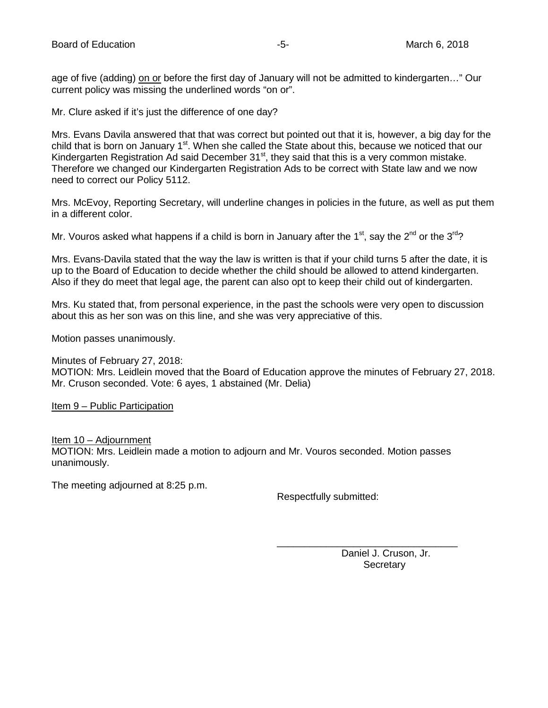age of five (adding) on or before the first day of January will not be admitted to kindergarten..." Our current policy was missing the underlined words "on or".

Mr. Clure asked if it's just the difference of one day?

Mrs. Evans Davila answered that that was correct but pointed out that it is, however, a big day for the child that is born on January 1<sup>st</sup>. When she called the State about this, because we noticed that our Kindergarten Registration Ad said December  $31<sup>st</sup>$ , they said that this is a very common mistake. Therefore we changed our Kindergarten Registration Ads to be correct with State law and we now need to correct our Policy 5112.

Mrs. McEvoy, Reporting Secretary, will underline changes in policies in the future, as well as put them in a different color.

Mr. Vouros asked what happens if a child is born in January after the 1<sup>st</sup>, say the 2<sup>nd</sup> or the 3<sup>rd</sup>?

Mrs. Evans-Davila stated that the way the law is written is that if your child turns 5 after the date, it is up to the Board of Education to decide whether the child should be allowed to attend kindergarten. Also if they do meet that legal age, the parent can also opt to keep their child out of kindergarten.

Mrs. Ku stated that, from personal experience, in the past the schools were very open to discussion about this as her son was on this line, and she was very appreciative of this.

Motion passes unanimously.

Minutes of February 27, 2018:

MOTION: Mrs. Leidlein moved that the Board of Education approve the minutes of February 27, 2018. Mr. Cruson seconded. Vote: 6 ayes, 1 abstained (Mr. Delia)

Item 9 – Public Participation

Item 10 – Adjournment MOTION: Mrs. Leidlein made a motion to adjourn and Mr. Vouros seconded. Motion passes unanimously.

The meeting adjourned at 8:25 p.m.

Respectfully submitted:

Daniel J. Cruson, Jr. **Secretary** 

\_\_\_\_\_\_\_\_\_\_\_\_\_\_\_\_\_\_\_\_\_\_\_\_\_\_\_\_\_\_\_\_\_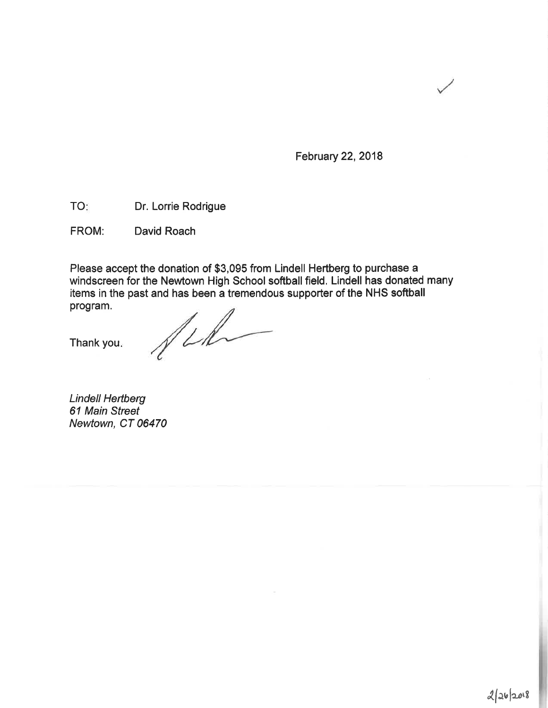February 22, 2018

TO: Dr. Lorrie Rodrigue

FROM: David Roach

Please accept the donation of \$3,095 from Lindell Hertberg to purchase a windscreen for the Newtown High School softball field. Lindell has donated many items in the past and has been a tremendous supporter of the NHS softball program.

Thank you.

film

**Lindell Hertberg** 61 Main Street Newtown, CT 06470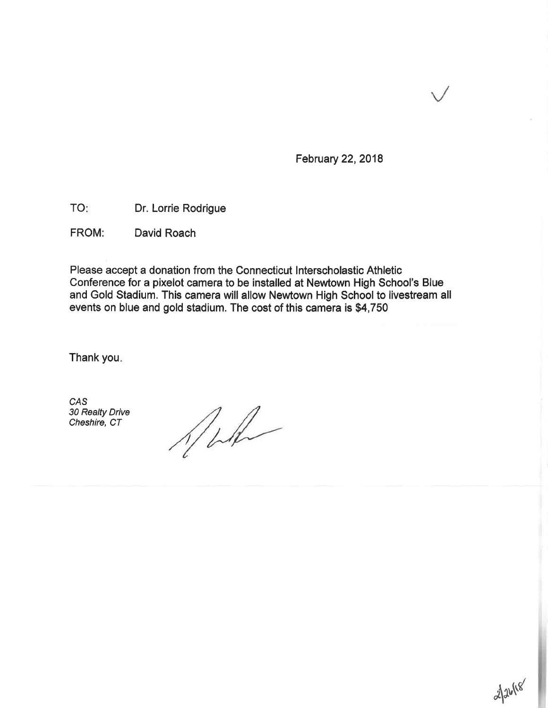February 22, 2018

TO: Dr. Lorrie Rodrigue

FROM: David Roach

Please accept a donation from the Connecticut Interscholastic Athletic Conference for a pixelot camera to be installed at Newtown High School's Blue and Gold Stadium. This camera will allow Newtown High School to livestream all events on blue and gold stadium. The cost of this camera is \$4,750

Thank you.

CAS 30 Realty Drive Cheshire, CT

 $1/1/1/1$ 

2/26/18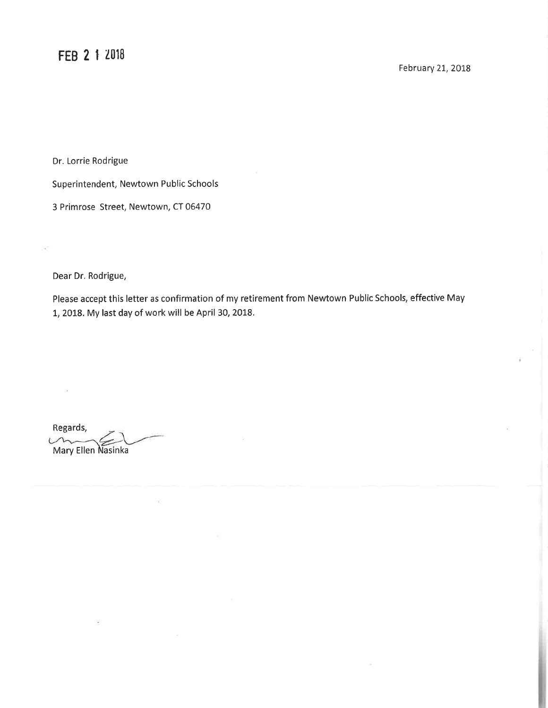Dr. Lorrie Rodrigue

Superintendent, Newtown Public Schools

3 Primrose Street, Newtown, CT 06470

Dear Dr. Rodrigue,

 $\tilde{\alpha}$ 

Please accept this letter as confirmation of my retirement from Newtown Public Schools, effective May 1, 2018. My last day of work will be April 30, 2018.

Regards, Mary Ellen Nasinka

R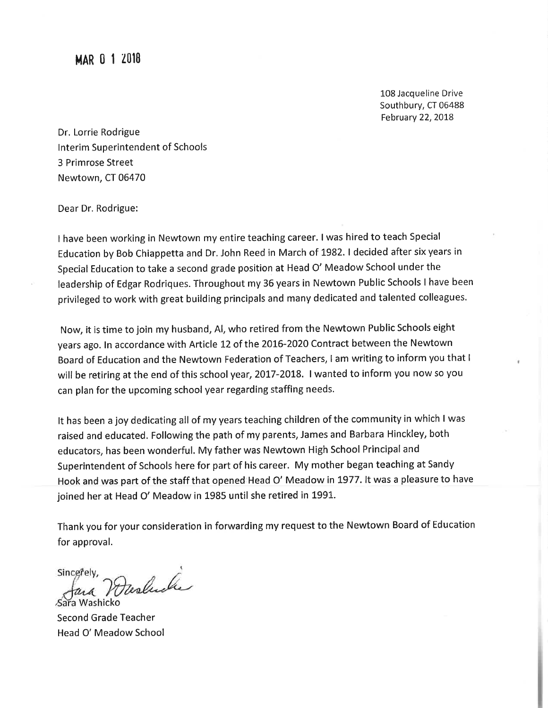**MAR 0 1 2018** 

108 Jacqueline Drive Southbury, CT 06488 February 22, 2018

Dr. Lorrie Rodrigue Interim Superintendent of Schools 3 Primrose Street Newtown, CT 06470

Dear Dr. Rodrigue:

I have been working in Newtown my entire teaching career. I was hired to teach Special Education by Bob Chiappetta and Dr. John Reed in March of 1982. I decided after six years in Special Education to take a second grade position at Head O' Meadow School under the leadership of Edgar Rodriques. Throughout my 36 years in Newtown Public Schools I have been privileged to work with great building principals and many dedicated and talented colleagues.

Now, it is time to join my husband, Al, who retired from the Newtown Public Schools eight years ago. In accordance with Article 12 of the 2016-2020 Contract between the Newtown Board of Education and the Newtown Federation of Teachers, I am writing to inform you that I will be retiring at the end of this school year, 2017-2018. I wanted to inform you now so you can plan for the upcoming school year regarding staffing needs.

It has been a joy dedicating all of my years teaching children of the community in which I was raised and educated. Following the path of my parents, James and Barbara Hinckley, both educators, has been wonderful. My father was Newtown High School Principal and Superintendent of Schools here for part of his career. My mother began teaching at Sandy Hook and was part of the staff that opened Head O' Meadow in 1977. It was a pleasure to have joined her at Head O' Meadow in 1985 until she retired in 1991.

Thank you for your consideration in forwarding my request to the Newtown Board of Education for approval.

Fasluch Sincerely, Sara Washicko

**Second Grade Teacher** Head O' Meadow School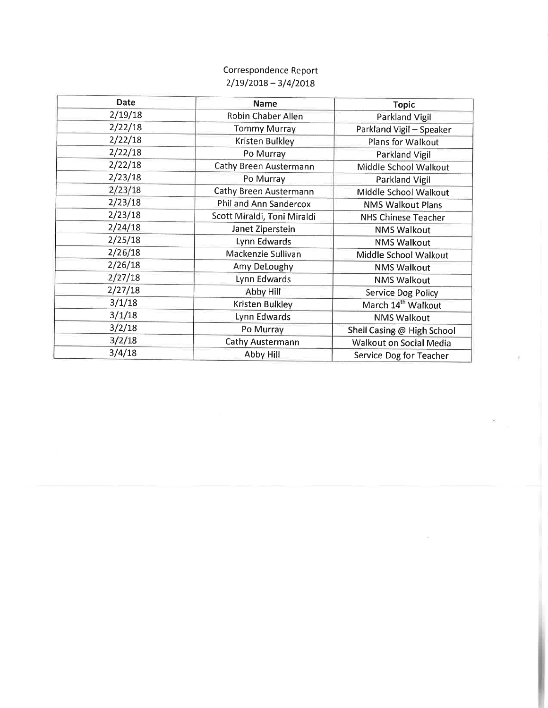# Correspondence Report  $2/19/2018 - 3/4/2018$

| Date                | <b>Name</b>                   | <b>Topic</b>                   |
|---------------------|-------------------------------|--------------------------------|
| 2/19/18             | Robin Chaber Allen            | <b>Parkland Vigil</b>          |
| 2/22/18             | <b>Tommy Murray</b>           | Parkland Vigil - Speaker       |
| 2/22/18             | Kristen Bulkley               | Plans for Walkout              |
| 2/22/18             | Po Murray                     | <b>Parkland Vigil</b>          |
| 2/22/18             | Cathy Breen Austermann        | Middle School Walkout          |
| 2/23/18             | Po Murray                     | Parkland Vigil                 |
| 2/23/18             | Cathy Breen Austermann        | Middle School Walkout          |
| 2/23/18             | <b>Phil and Ann Sandercox</b> | <b>NMS Walkout Plans</b>       |
| 2/23/18             | Scott Miraldi, Toni Miraldi   | <b>NHS Chinese Teacher</b>     |
| 2/24/18             | Janet Ziperstein              | <b>NMS Walkout</b>             |
| 2/25/18             | Lynn Edwards                  | <b>NMS Walkout</b>             |
| 2/26/18             | Mackenzie Sullivan            | Middle School Walkout          |
| 2/26/18             | Amy DeLoughy                  | <b>NMS Walkout</b>             |
| 2/27/18             | Lynn Edwards                  | <b>NMS Walkout</b>             |
| 2/27/18             | Abby Hill                     | <b>Service Dog Policy</b>      |
| 3/1/18              | Kristen Bulkley               | March 14 <sup>th</sup> Walkout |
| 3/1/18              | Lynn Edwards                  | <b>NMS Walkout</b>             |
| 3/2/18              | Po Murray                     | Shell Casing @ High School     |
| 3/2/18              | Cathy Austermann              | Walkout on Social Media        |
| 3/4/18<br>Abby Hill |                               | Service Dog for Teacher        |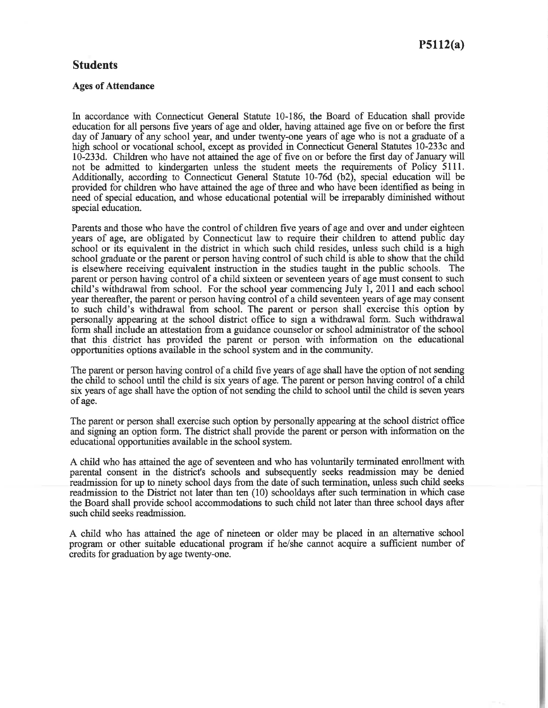## **Students**

#### **Ages of Attendance**

In accordance with Connecticut General Statute 10-186, the Board of Education shall provide education for all persons five years of age and older, having attained age five on or before the first day of January of any school year, and under twenty-one years of age who is not a graduate of a high school or vocational school, except as provided in Connecticut General Statutes 10-233c and 10-233d. Children who have not attained the age of five on or before the first day of January will not be admitted to kindergarten unless the student meets the requirements of Policy 5111. Additionally, according to Connecticut General Statute 10-76d (b2), special education will be provided for children who have attained the age of three and who have been identified as being in need of special education, and whose educational potential will be irreparably diminished without special education.

Parents and those who have the control of children five years of age and over and under eighteen years of age, are obligated by Connecticut law to require their children to attend public day school or its equivalent in the district in which such child resides, unless such child is a high school graduate or the parent or person having control of such child is able to show that the child is elsewhere receiving equivalent instruction in the studies taught in the public schools. The parent or person having control of a child sixteen or seventeen years of age must consent to such child's withdrawal from school. For the school year commencing July 1, 2011 and each school year thereafter, the parent or person having control of a child seventeen years of age may consent to such child's withdrawal from school. The parent or person shall exercise this option by personally appearing at the school district office to sign a withdrawal form. Such withdrawal form shall include an attestation from a guidance counselor or school administrator of the school that this district has provided the parent or person with information on the educational opportunities options available in the school system and in the community.

The parent or person having control of a child five years of age shall have the option of not sending the child to school until the child is six years of age. The parent or person having control of a child six years of age shall have the option of not sending the child to school until the child is seven years of age.

The parent or person shall exercise such option by personally appearing at the school district office and signing an option form. The district shall provide the parent or person with information on the educational opportunities available in the school system.

A child who has attained the age of seventeen and who has voluntarily terminated enrollment with parental consent in the district's schools and subsequently seeks readmission may be denied readmission for up to ninety school days from the date of such termination, unless such child seeks readmission to the District not later than ten (10) schooldays after such termination in which case the Board shall provide school accommodations to such child not later than three school days after such child seeks readmission.

A child who has attained the age of nineteen or older may be placed in an alternative school program or other suitable educational program if he/she cannot acquire a sufficient number of credits for graduation by age twenty-one.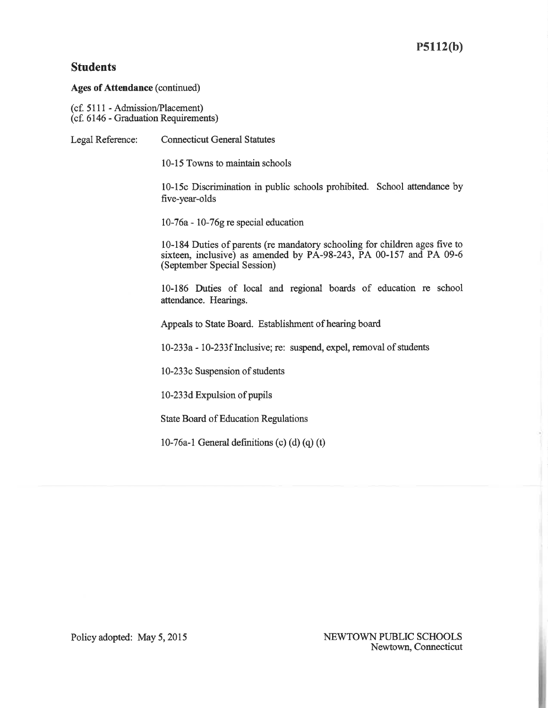# **Students**

**Ages of Attendance (continued)** 

(cf. 5111 - Admission/Placement)<br>(cf. 6146 - Graduation Requirements)

| Legal Reference:                                       | <b>Connecticut General Statutes</b>                                                                                                                                             |  |
|--------------------------------------------------------|---------------------------------------------------------------------------------------------------------------------------------------------------------------------------------|--|
|                                                        | 10-15 Towns to maintain schools                                                                                                                                                 |  |
|                                                        | 10-15c Discrimination in public schools prohibited. School attendance by<br>five-year-olds                                                                                      |  |
|                                                        | $10-76a - 10-76g$ re special education                                                                                                                                          |  |
|                                                        | 10-184 Duties of parents (re mandatory schooling for children ages five to<br>sixteen, inclusive) as amended by PA-98-243, PA 00-157 and PA 09-6<br>(September Special Session) |  |
|                                                        | 10-186 Duties of local and regional boards of education re school<br>attendance. Hearings.                                                                                      |  |
| Appeals to State Board. Establishment of hearing board |                                                                                                                                                                                 |  |
|                                                        | 10-233a - 10-233f Inclusive; re: suspend, expel, removal of students                                                                                                            |  |
|                                                        | 10-233c Suspension of students                                                                                                                                                  |  |
|                                                        | 10-233d Expulsion of pupils                                                                                                                                                     |  |
|                                                        | <b>State Board of Education Regulations</b>                                                                                                                                     |  |
|                                                        | 10-76a-1 General definitions (c) (d) (q) (t)                                                                                                                                    |  |
|                                                        |                                                                                                                                                                                 |  |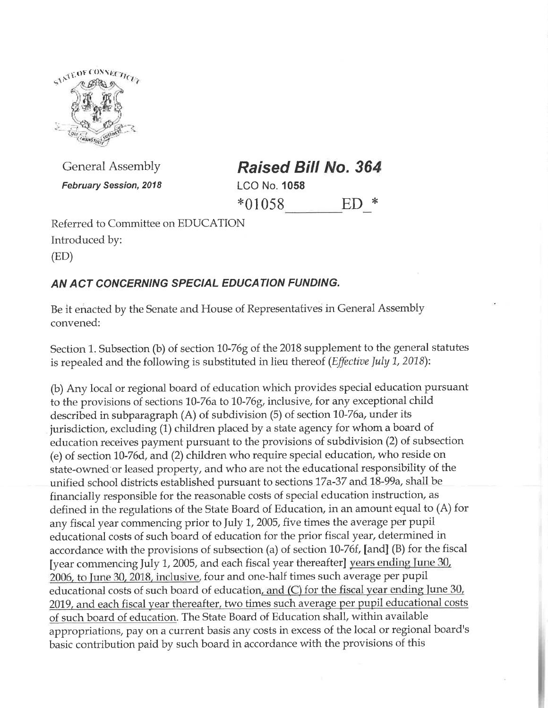

**General Assembly February Session, 2018**  **Raised Bill No. 364 LCO No. 1058**  $*01058$  $ED$  \*

Referred to Committee on EDUCATION Introduced by:

 $(ED)$ 

# AN ACT CONCERNING SPECIAL EDUCATION FUNDING.

Be it enacted by the Senate and House of Representatives in General Assembly convened:

Section 1. Subsection (b) of section 10-76g of the 2018 supplement to the general statutes is repealed and the following is substituted in lieu thereof (Effective July 1, 2018):

(b) Any local or regional board of education which provides special education pursuant to the provisions of sections 10-76a to 10-76g, inclusive, for any exceptional child described in subparagraph (A) of subdivision (5) of section 10-76a, under its jurisdiction, excluding (1) children placed by a state agency for whom a board of education receives payment pursuant to the provisions of subdivision (2) of subsection (e) of section 10-76d, and (2) children who require special education, who reside on state-owned or leased property, and who are not the educational responsibility of the unified school districts established pursuant to sections 17a-37 and 18-99a, shall be financially responsible for the reasonable costs of special education instruction, as defined in the regulations of the State Board of Education, in an amount equal to (A) for any fiscal year commencing prior to July 1, 2005, five times the average per pupil educational costs of such board of education for the prior fiscal year, determined in accordance with the provisions of subsection (a) of section 10-76f, [and] (B) for the fiscal [year commencing July 1, 2005, and each fiscal year thereafter] years ending June 30, 2006, to June 30, 2018, inclusive, four and one-half times such average per pupil educational costs of such board of education, and  $(C)$  for the fiscal year ending June 30, 2019, and each fiscal year thereafter, two times such average per pupil educational costs of such board of education. The State Board of Education shall, within available appropriations, pay on a current basis any costs in excess of the local or regional board's basic contribution paid by such board in accordance with the provisions of this